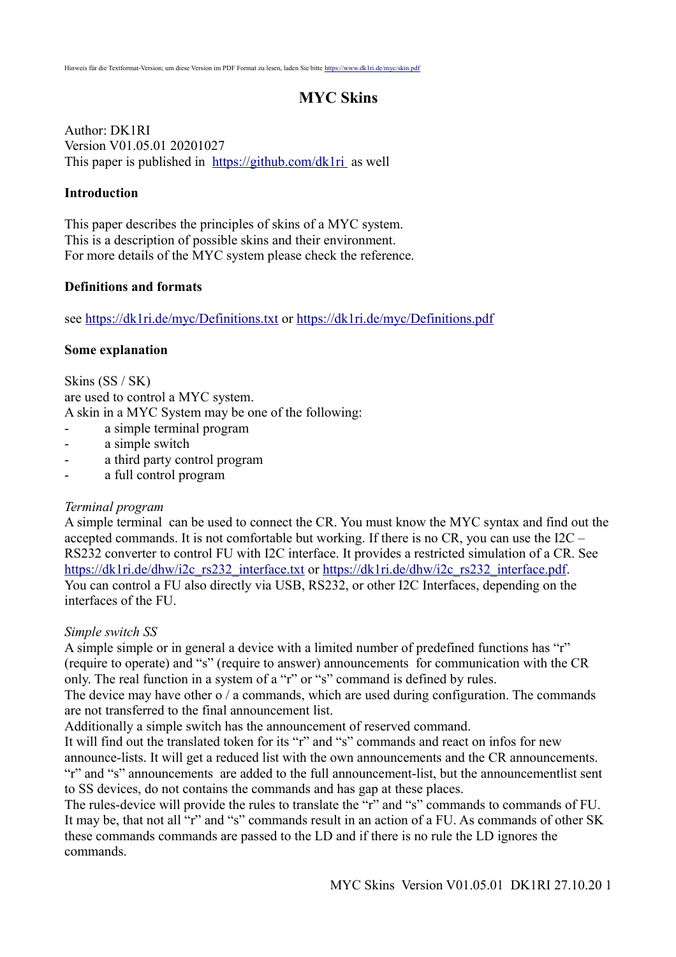# **MYC Skins**

Author: DK1RI Version V01.05.01 20201027 This paper is published in <https://github.com/dk1ri>as well

### **Introduction**

This paper describes the principles of skins of a MYC system. This is a description of possible skins and their environment. For more details of the MYC system please check the reference.

#### **Definitions and formats**

see<https://dk1ri.de/myc/Definitions.txt>or<https://dk1ri.de/myc/Definitions.pdf>

#### **Some explanation**

Skins (SS / SK) are used to control a MYC system. A skin in a MYC System may be one of the following:

- a simple terminal program
- a simple switch
- a third party control program
- a full control program

#### *Terminal program*

A simple terminal can be used to connect the CR. You must know the MYC syntax and find out the accepted commands. It is not comfortable but working. If there is no CR, you can use the  $I2C -$ RS232 converter to control FU with I2C interface. It provides a restricted simulation of a CR. See [https://dk1ri.de/dhw/i2c\\_rs232\\_interface.txt](https://dk1ri.de/dhw/i2c_rs232_interface.txt) or [https://dk1ri.de/dhw/i2c\\_rs232\\_interface.pdf.](https://dk1ri.de/dhw/i2c_rs232_interface.pdf) You can control a FU also directly via USB, RS232, or other I2C Interfaces, depending on the interfaces of the FU.

#### *Simple switch SS*

A simple simple or in general a device with a limited number of predefined functions has "r" (require to operate) and "s" (require to answer) announcements for communication with the CR only. The real function in a system of a "r" or "s" command is defined by rules.

The device may have other o / a commands, which are used during configuration. The commands are not transferred to the final announcement list.

Additionally a simple switch has the announcement of reserved command.

It will find out the translated token for its "r" and "s" commands and react on infos for new announce-lists. It will get a reduced list with the own announcements and the CR announcements. "r" and "s" announcements are added to the full announcement-list, but the announcementlist sent to SS devices, do not contains the commands and has gap at these places.

The rules-device will provide the rules to translate the "r" and "s" commands to commands of FU. It may be, that not all "r" and "s" commands result in an action of a FU. As commands of other SK these commands commands are passed to the LD and if there is no rule the LD ignores the commands.